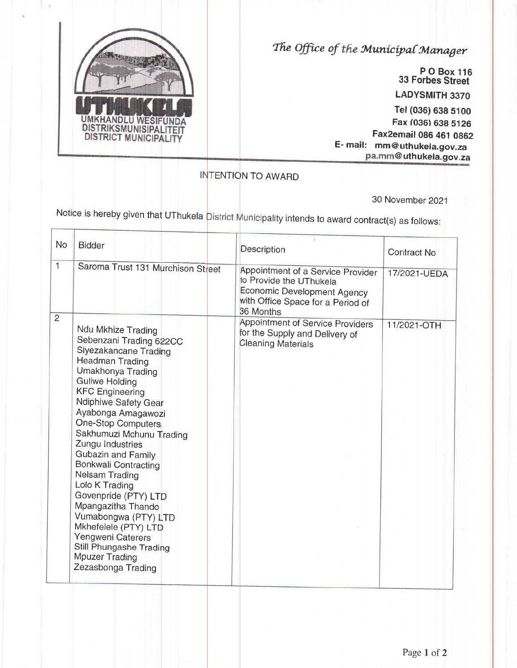

 $\frac{1}{2}$ 

The Office of the Municipal Manager

33 Forbes Stree LADYSMITH 3370 Tel (036) 638 5100 Fax (036) 638 5126 Fax2email 086 461 086 0862 E- mail: mm@uthukela.gov.za @uthukela.gov.za x '116 treet

NTION TO AWARD

30 November 2021

Notice is hereby given that UThukela <mark>District Municipality intends to award contract(s) as follows</mark>

| <b>No</b>      | <b>Bidder</b>                                                                                                                                                                                                                                                                                                                                                                                                                                                                                                                                                                      | <b>Description</b>                                                                                                                            | Contract No  |
|----------------|------------------------------------------------------------------------------------------------------------------------------------------------------------------------------------------------------------------------------------------------------------------------------------------------------------------------------------------------------------------------------------------------------------------------------------------------------------------------------------------------------------------------------------------------------------------------------------|-----------------------------------------------------------------------------------------------------------------------------------------------|--------------|
| $\mathbf{1}$   | Saroma Trust 131 Murchison Street                                                                                                                                                                                                                                                                                                                                                                                                                                                                                                                                                  | Appointment of a Service Provider<br>to Provide the UThukela<br>Economic Development Agency<br>with Office Space for a Period of<br>36 Months | 17/2021-UEDA |
| $\overline{2}$ | Ndu Mkhize Trading<br>Sebenzani Trading 622CC<br>Siyezakancane Trading<br><b>Headman Trading</b><br>Umakhonya Trading<br><b>Guliwe Holding</b><br><b>KFC Engineering</b><br>Ndiphiwe Safety Gear<br>Ayabonga Amagawozi<br>One-Stop Computers<br>Sakhumuzi Mchunu Trading<br>Zungu Industries<br>Gubazin and Family<br><b>Bonkwali Contracting</b><br>Nelsam Trading<br>Lolo K Trading<br>Govenpride (PTY) LTD<br>Mpangazitha Thando<br>Vumabongwa (PTY) LTD<br>Mkhefelele (PTY) LTD<br>Yengweni Caterers<br>Still Phungashe Trading<br><b>Mpuzer Trading</b><br>Zezasbonga Trading | Appointment of Service Providers<br>for the Supply and Delivery of<br><b>Cleaning Materials</b>                                               | 11/2021-OTH  |